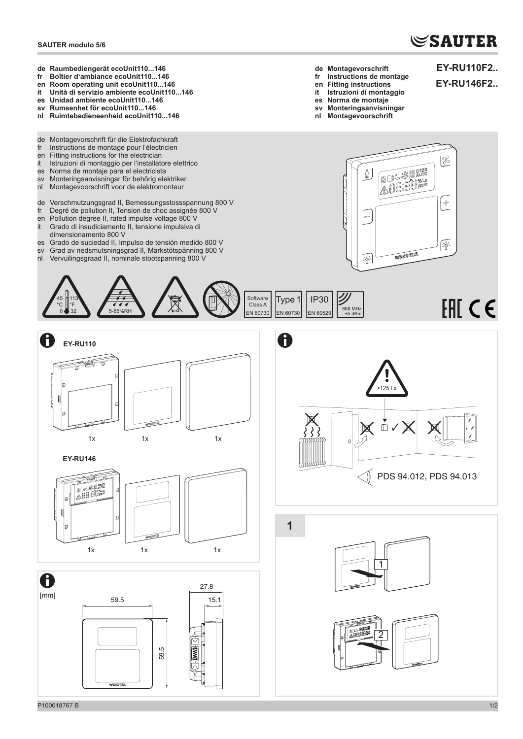## **SAUTER modulo 5/6**

## **SAUTER**